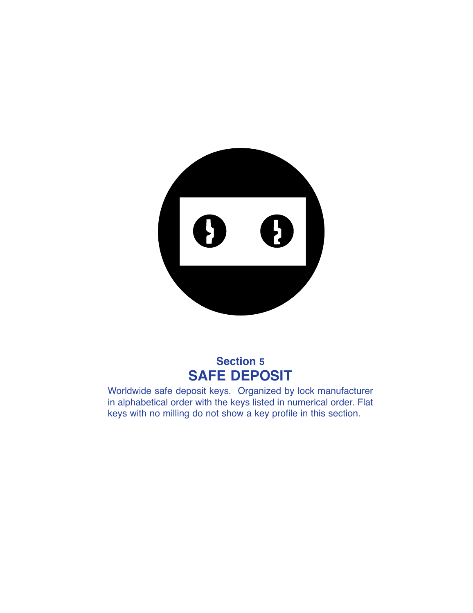

## **Section 5 SAFE DEPOSIT**

Worldwide safe deposit keys. Organized by lock manufacturer in alphabetical order with the keys listed in numerical order. Flat keys with no milling do not show a key profile in this section.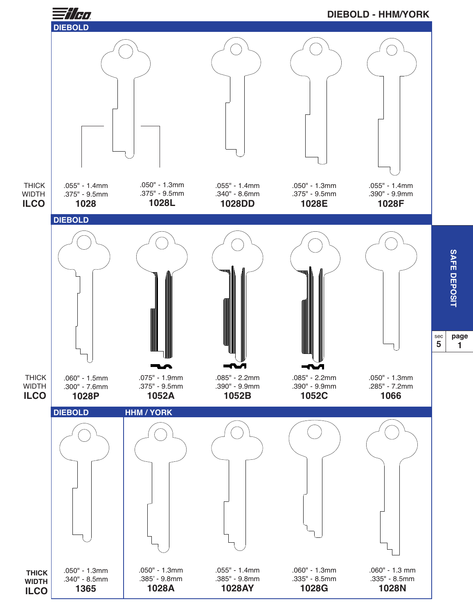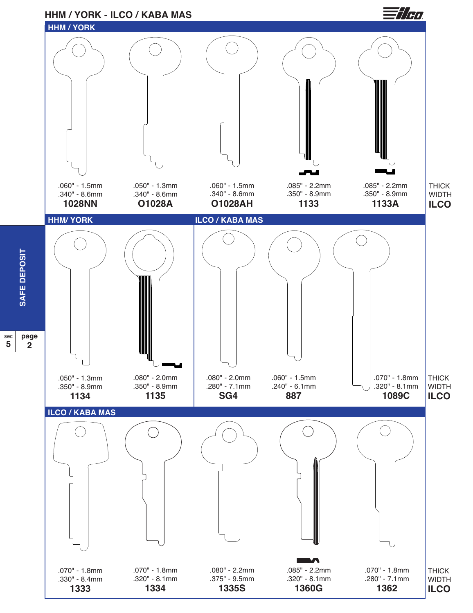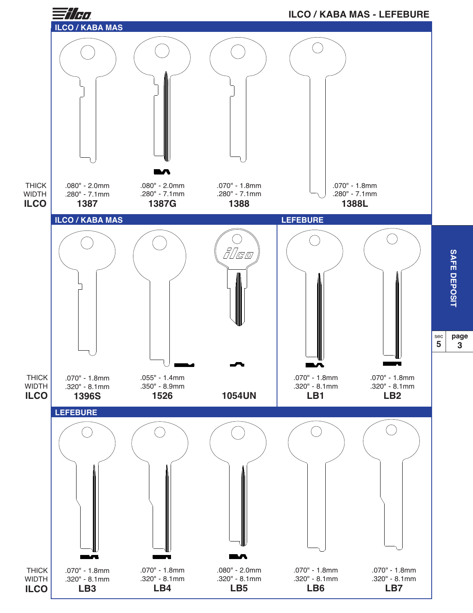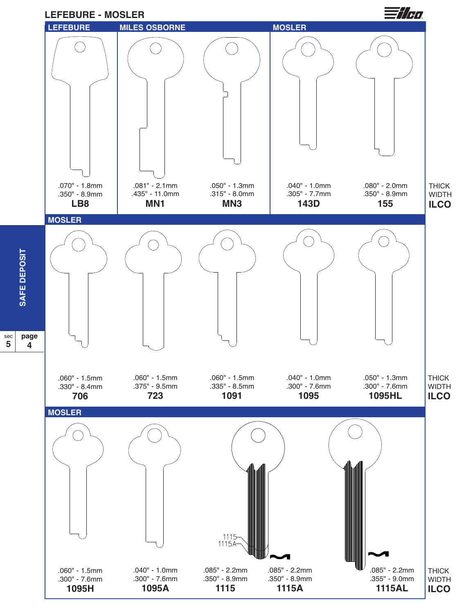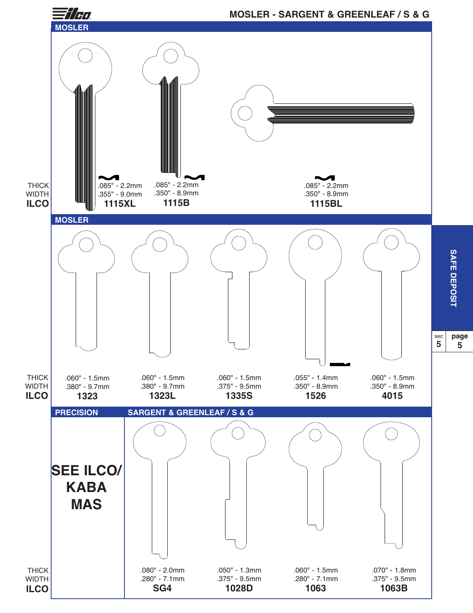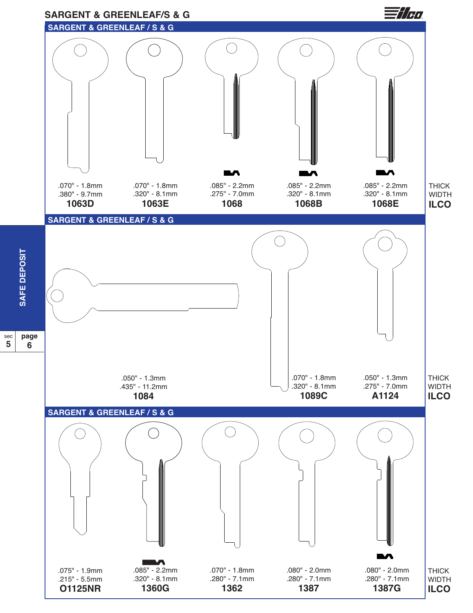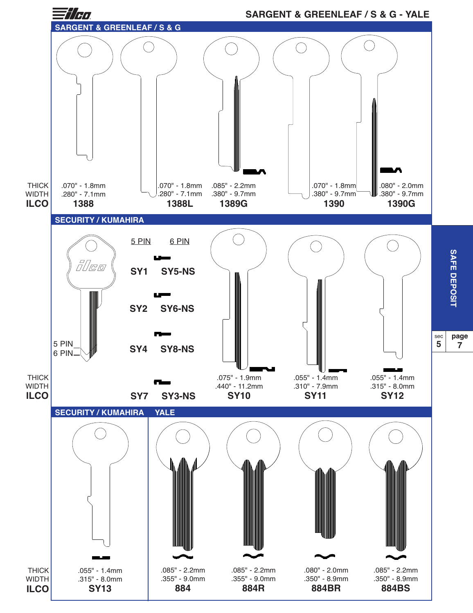